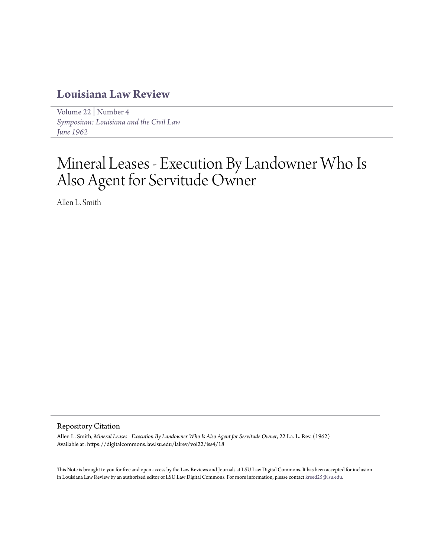# **[Louisiana Law Review](https://digitalcommons.law.lsu.edu/lalrev)**

[Volume 22](https://digitalcommons.law.lsu.edu/lalrev/vol22) | [Number 4](https://digitalcommons.law.lsu.edu/lalrev/vol22/iss4) *[Symposium: Louisiana and the Civil Law](https://digitalcommons.law.lsu.edu/lalrev/vol22/iss4) [June 1962](https://digitalcommons.law.lsu.edu/lalrev/vol22/iss4)*

# Mineral Leases - Execution By Landowner Who Is Also Agent for Servitude Owner

Allen L. Smith

## Repository Citation

Allen L. Smith, *Mineral Leases - Execution By Landowner Who Is Also Agent for Servitude Owner*, 22 La. L. Rev. (1962) Available at: https://digitalcommons.law.lsu.edu/lalrev/vol22/iss4/18

This Note is brought to you for free and open access by the Law Reviews and Journals at LSU Law Digital Commons. It has been accepted for inclusion in Louisiana Law Review by an authorized editor of LSU Law Digital Commons. For more information, please contact [kreed25@lsu.edu](mailto:kreed25@lsu.edu).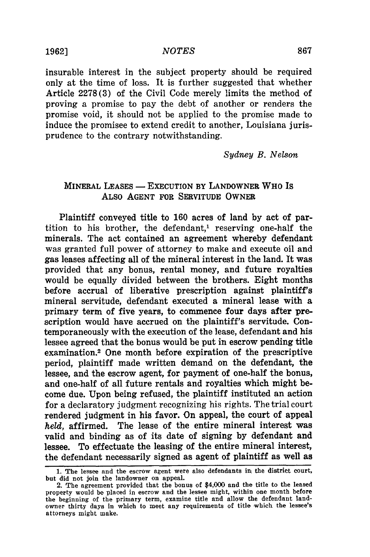insurable interest in the subject property should be required only at the time of loss. It is further suggested that whether Article 2278(3) of the Civil Code merely limits the method of proving a promise to pay the debt of another or renders the promise void, it should not be applied to the promise made to induce the promisee to extend credit to another, Louisiana jurisprudence to the contrary notwithstanding.

*Sydney B. Nelson*

# **MINERAL LEASES - EXECUTION BY LANDOWNER WHO IS** ALSO **AGENT** FOR SERVITUDE OWNER

Plaintiff conveyed title to 160 acres of land by act of partition to his brother, the defendant,<sup>1</sup> reserving one-half the minerals. The act contained an agreement whereby defendant was granted full power of attorney to make and execute oil and gas leases affecting all of the mineral interest in the land. It was provided that any bonus, rental money, and future royalties would be equally divided between the brothers. Eight months before accrual of liberative prescription against plaintiff's mineral servitude, defendant executed a mineral lease with a primary term of five years, to commence four days after prescription would have accrued on the plaintiff's servitude. Contemporaneously with the execution of the lease, defendant and his lessee agreed that the bonus would be put in escrow pending title examination.2 One month before expiration of the prescriptive period, plaintiff made written demand on the defendant, the lessee, and the escrow agent, for payment of one-half the bonus, and one-half of all future rentals and royalties which might become due. Upon being refused, the plaintiff instituted an action for a declaratory judgment recognizing his rights. The trial court rendered judgment in his favor. On appeal, the court of appeal *held,* affirmed. The lease of the entire mineral interest was valid and binding as of its date of signing by defendant and lessee. To effectuate the leasing of the entire mineral interest, the defendant necessarily signed as agent of plaintiff as well as

**1962]**

<sup>1.</sup> The lessee and the escrow agent were also defendants in the district court, but did not join the landowner on appeal.

<sup>2.</sup> The agreement provided that the bonus of \$4,000 and the title to the leased property would **be** placed in escrow and the lessee might, within one month before the beginning of the primary term, examine title and allow the defendant landowner thirty days in which to meet any requirements of title which the lessee's attorneys might make.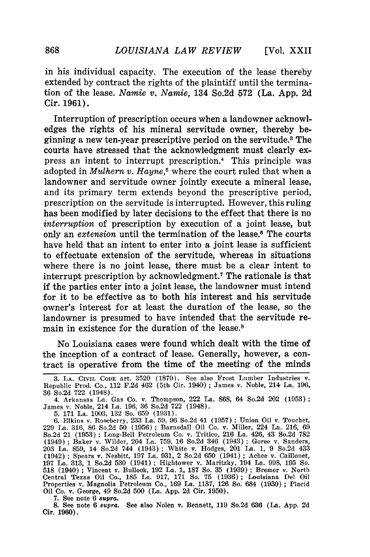in his individual capacity. The execution of the lease thereby extended **by** contract the rights of the plaintiff until the termination of the lease. *Namie v. Namie,* **134** So.2d **572** (La. **App. 2d** Cir. **1961).**

Interruption of prescription occurs when a landowner acknowledges the rights of his mineral servitude owner, thereby beginning a new ten-year prescriptive period on the servitude.8 The courts have stressed that the acknowledgment must clearly express an intent to interrupt prescription.<sup>4</sup> This principle was adopted in *Mulhern v. Hayne*,<sup>5</sup> where the court ruled that when a landowner and servitude owner jointly execute a mineral lease, and its primary term extends beyond the prescriptive period, prescription on the servitude is interrupted. However, this ruling has been modified **by** later decisions to the effect that there is no *interruption* of prescription **by** execution of a joint lease, but only an *extension* until the termination of the lease.<sup>6</sup> The courts have held that an intent to enter into a joint lease is sufficient to effectuate extension of the servitude, whereas in situations where there is no joint lease, there must be a clear intent to interrupt prescription **by** acknowledgment.7 The rationale is that if the parties enter into a joint lease, the landowner must intend for it to be effective as to both his interest and his servitude owner's interest for at least the duration of the lease, so the landowner is presumed to have intended that the servitude remain in existence for the duration of the lease.<sup>8</sup>

No Louisiana cases were found which dealt with the time of the inception of a contract of lease. Generally, however, a contract is operative from the time of the meeting of the minds

5. **171** La. 1003, 132 So. **659** (1931).

6. Elkins v. Roseberry, **233** La. **59,** *96* So.2d 41 (1957) **;** Union Oil v. Touchet, 229 La. 316, 86 So.2d 50 (1956) **;** Barnsdall Oil Co. v. Miller, 224 La. 216, 69 So.2d 21 (1953) **;** Long-Bell Petroleum Co. v. Tritico, 216 La. 426, 43 So.2d **782** (1949) ; Baker v. Wilder, 204 La. 759, 16 So.2d 346 (1943) **;** Goree v. Sanders, 203 La. 859, 14 So.2d 744 (1943); White v. Hodges, 201 La. 1, 9 So.2d 433 (1942) **;** Spears v. Nesbitt, 197 La. 931, 2 So.2d 650 (1941) ; Achee v. Caillouet, 197 La. 313, 1 So.2d **530** (1941) ; Hightower v. Maritzky, 194 La. 998, 195 So. 518 (1940) ; Vincent v. Bullock, 192 La. 1, 187 So. **35** (1939) **;** Bremer v. North Central Texas Oil Co., 185 La. 917, **171** So. 75 (1936) ; Louisiana Del Oil Properties v. Magnolia Petroleum Co., 169 La. 1137, 126 So. 684 (1930) ; Placid Oil Co. v. George, 49 So.2d 500 (La. App. 2d Cir. 1950).

7. See note 6 *supra.*

8. See note 6 *supra.* See also Nolen v. Bennett, 119 So.2d 636 (La. App. **2d** Cir. 1960).

<sup>3.</sup> LA. CIVIL **CODE** art. 3520 (1870). See also Frost Lumber Industries v. Republic Prod. Co., 112 F.2d 462 (5th Cir. 1940) ; James v. Noble, 214 La. 196, 36 So.2d 722 (1948).

<sup>4.</sup> Arkansas La. Gas Co. v. Thompson, 222 La. 868, 64 So.2d 202 (1953) James v. Noble, 214 La. 196, 36 So.2d 722 (1948).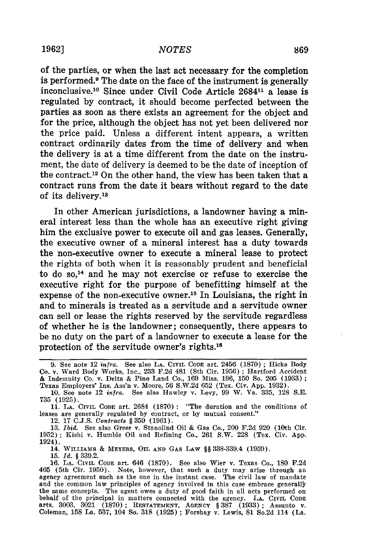### *NOTES*

of the parties, or when the last act necessary for the completion is performed.9 The date on the face of the instrument is generally inconclusive.<sup>10</sup> Since under Civil Code Article  $2684$ <sup>11</sup> a lease is regulated by contract, it should become perfected between the parties as soon as there exists an agreement for the object and for the price, although the object has not yet been delivered nor the price paid. Unless a different intent appears, a written contract ordinarily dates from the time of delivery and when the delivery is at a time different from the date on the instrument, the date of delivery is deemed to be the date of inception of the contract.12 On the other hand, the view has been taken that a contract runs from the date it bears without regard to the date of its delivery.13

In other American jurisdictions, a landowner having a mineral interest less than the whole has an executive right giving him the exclusive power to execute oil and gas leases. Generally, the executive owner of a mineral interest has a duty towards the non-executive owner to execute a mineral lease to protect the rights of both when it is reasonably prudent and beneficial to do so, $14$  and he may not exercise or refuse to exercise the executive right for the purpose of benefitting himself at the expense of the non-executive owner.<sup>15</sup> In Louisiana, the right in and to minerals is treated as a servitude and a servitude owner can sell or lease the rights reserved by the servitude regardless of whether he is the landowner; consequently, there appears to be no duty on the part of a landowner to execute a lease for the protection of the servitude owner's rights.<sup>16</sup>

**11. LA.** CIVIL **CODE** art. 2684 (1870) **:** "The duration and the conditions of leases are generally regulated by contract, or by mutual consent."

12. 17 **C.J.S.** *Contract8* **§** 359 (1961).

13. *Ibid.* See also Greer v. Stanolind Oil & Gas Co., 200 F.2d 920 (10th Cir. 1952); Kishi v. Humble Oil and Refining Co., 261 S.W. 228 (Tex. Civ. App. 1924).

14. WILLIAMS & MEYERS, OIL **AND GAS** LAW **§§** 338-339.4 (1959).

**15.** *Id.* **§** 339.2.

**16.** LA. **CIVIL CODE** art. 646 (1870). See also Wier v. Texas Co., 180 F.2d 465 (5th Cir. 1950). Note, however, that such a duty may arise through an agency agreement such as the one in the instant case. The civil law of mandate and the common law principles of agency involved in this case embrace generally the same concepts. The agent owes a duty of good faith in all acts performed on behalf of the principal in matters connected with the agency. **LA. CIVIL CODE** arts. 3003, **3021** (1870); **RESTATEMENT, AGENCY §** 387 (1933); Assunto v. Coleman, 158 La. 537, 104 So. 318 (1925) ; Forshay v. Lewis, **81** So.2d 114 (La.

<sup>9.</sup> See note 12 *infra.* See also **LA.** CIVIL CODE art. 2456 (1870) **;** Hicks Body Co. v. Ward Body Works, Inc., 233 F.2d 481 (8th Cir. 1956) **;** Hartford Accident & Indemnity Co. v. Delta & Pine Land Co., 169 Miss. 196, 150 So. 205 (1933):<br>Texas Employers' Ins. Ass'n v. Moore, 56 S.W.2d 652 (Tex. Civ. App. 1932).<br>10. See note 12 infra. See also Hawley v. Levy, 99 W. Va. 335, 128 S.E

<sup>735 (1925).</sup>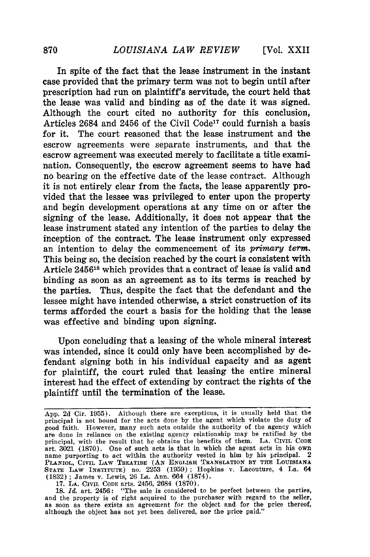In spite of the fact that the lease instrument in the instant case provided that the primary term was not to begin until after prescription had run on plaintiff's servitude, the court held that the lease was valid and binding as of the date it was signed. Although the court cited no authority for this conclusion, Articles 2684 and 2456 of the Civil Code<sup>17</sup> could furnish a basis for it. The court reasoned that the lease instrument and the escrow agreements were separate instruments, and that the escrow agreement was executed merely to facilitate a title examination. Consequently, the escrow agreement seems to have had no bearing on the effective date of the lease contract. Although it is not entirely clear from the facts, the lease apparently provided that the lessee was privileged to enter upon the property and begin development operations at any time on or after the signing of the lease. Additionally, it does not appear that the lease instrument stated any intention of the parties to delay the inception of the contract. The lease instrument only expressed an intention to delay the commencement of its *primary term.* This being so, the decision reached by the court is consistent with Article 245618 which provides that a contract of lease is valid and binding as soon as an agreement as to its terms is reached by the parties. Thus, despite the fact that the defendant and the lessee might have intended otherwise, a strict construction of its terms afforded the court a basis for the holding that the lease was effective and binding upon signing.

Upon concluding that a leasing of the whole mineral interest was intended, since it could only have been accomplished **by** defendant signing both in his individual capacity and as agent for plaintiff, the court ruled that leasing the entire mineral interest had the effect of extending **by** contract the rights of the plaintiff until the termination of the lease.

**17. LA.** CIVIL **CODE** arts. 2456, 2684 **(1870).**

**18.** *Id.* art. 2456: "The sale is considered to **be** perfect between the parties, and the property is of right acquired to the purchaser with regard to the seller, as soon as there exists an agreement for the object and for the price thereof, although the object has not yet been delivered, nor the price paid."

**App. 2d** Cir. **1955).** Although there are exceptions, it is usually held that the principal is not bound for **the** acts done **by** the agent which violate the duty of good faith. However, many such acts outside the authority of the agency which are done in reliance on the existing agency relationship may **be** ratified **by** the principal, with the result that he obtains the benefits of them. **LA. CIVIL CODE** art. **3021 (1870).** One of such acts is that in which the agent acts in his own name purporting to act within the authority vested in him **by** his principal. 2 **PLANIOL, CIVIL** LAW **TREATISE (AN ENGLISH TRANSLATION BY THE LOUISIANA STATE** LAW INSTITUTE) no. **2253 (1959);** Hopkins v. Lacouture, 4 La. 64 **(1832) ;** James v. Lewis, 26 **La.** Ann. 664 **(1874).**